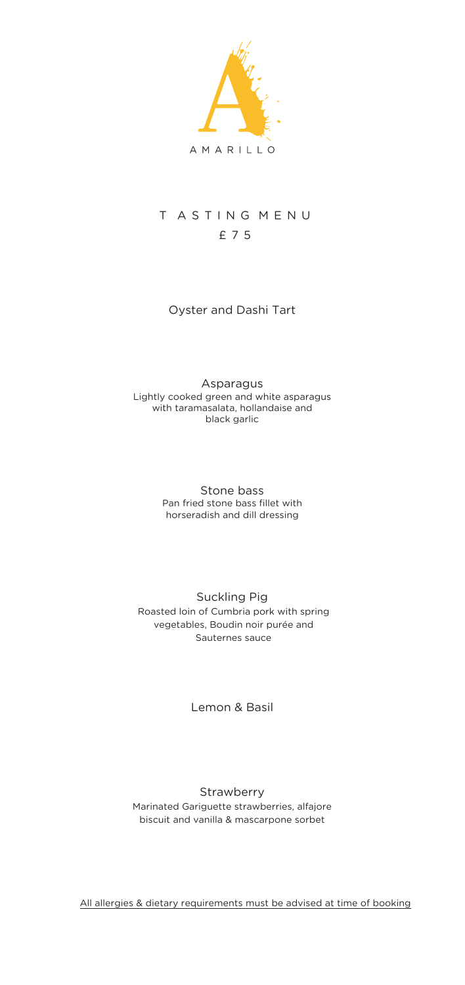

# T ASTING MENU £ 7 5

# Oyster and Dashi Tart

#### Asparagus Lightly cooked green and white asparagus with taramasalata, hollandaise and black garlic

#### Stone bass Pan fried stone bass fillet with horseradish and dill dressing

## Suckling Pig Roasted loin of Cumbria pork with spring vegetables, Boudin noir purée and Sauternes sauce

## Lemon & Basil

### **Strawberry** Marinated Gariguette strawberries, alfajore biscuit and vanilla & mascarpone sorbet

All allergies & dietary requirements must be advised at time of booking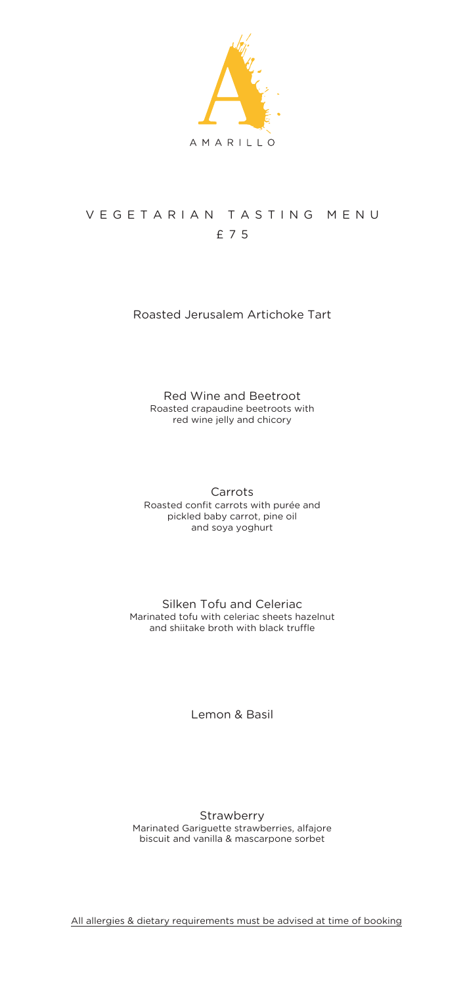

# V E G E T A R I A N T A S T I N G M E N U £ 7 5

## Roasted Jerusalem Artichoke Tart

### Red Wine and Beetroot Roasted crapaudine beetroots with red wine jelly and chicory

Carrots Roasted confit carrots with purée and pickled baby carrot, pine oil and soya yoghurt

Silken Tofu and Celeriac Marinated tofu with celeriac sheets hazelnut and shiitake broth with black truffle

Lemon & Basil

Strawberry Marinated Gariguette strawberries, alfajore biscuit and vanilla & mascarpone sorbet

All allergies & dietary requirements must be advised at time of booking